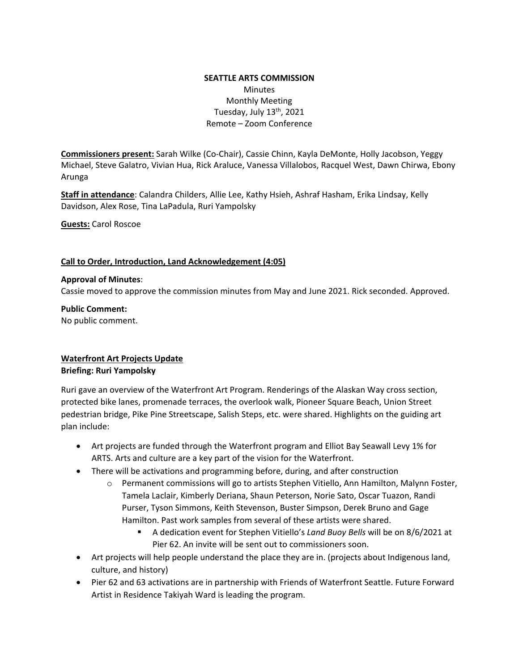### **SEATTLE ARTS COMMISSION**  Minutes Monthly Meeting Tuesday, July  $13<sup>th</sup>$ , 2021 Remote – Zoom Conference

**Commissioners present:** Sarah Wilke (Co-Chair), Cassie Chinn, Kayla DeMonte, Holly Jacobson, Yeggy Michael, Steve Galatro, Vivian Hua, Rick Araluce, Vanessa Villalobos, Racquel West, Dawn Chirwa, Ebony Arunga

**Staff in attendance**: Calandra Childers, Allie Lee, Kathy Hsieh, Ashraf Hasham, Erika Lindsay, Kelly Davidson, Alex Rose, Tina LaPadula, Ruri Yampolsky

**Guests:** Carol Roscoe

#### **Call to Order, Introduction, Land Acknowledgement (4:05)**

#### **Approval of Minutes**:

Cassie moved to approve the commission minutes from May and June 2021. Rick seconded. Approved.

**Public Comment:** No public comment.

#### **Waterfront Art Projects Update Briefing: Ruri Yampolsky**

Ruri gave an overview of the Waterfront Art Program. Renderings of the Alaskan Way cross section, protected bike lanes, promenade terraces, the overlook walk, Pioneer Square Beach, Union Street pedestrian bridge, Pike Pine Streetscape, Salish Steps, etc. were shared. Highlights on the guiding art plan include:

- Art projects are funded through the Waterfront program and Elliot Bay Seawall Levy 1% for ARTS. Arts and culture are a key part of the vision for the Waterfront.
- There will be activations and programming before, during, and after construction
	- o Permanent commissions will go to artists Stephen Vitiello, Ann Hamilton, Malynn Foster, Tamela Laclair, Kimberly Deriana, Shaun Peterson, Norie Sato, Oscar Tuazon, Randi Purser, Tyson Simmons, Keith Stevenson, Buster Simpson, Derek Bruno and Gage Hamilton. Past work samples from several of these artists were shared.
		- A dedication event for Stephen Vitiello's *Land Buoy Bells* will be on 8/6/2021 at Pier 62. An invite will be sent out to commissioners soon.
- Art projects will help people understand the place they are in. (projects about Indigenous land, culture, and history)
- Pier 62 and 63 activations are in partnership with Friends of Waterfront Seattle. Future Forward Artist in Residence Takiyah Ward is leading the program.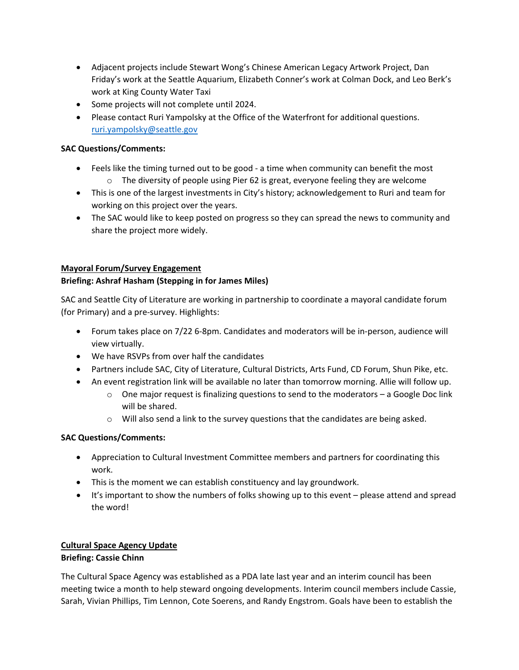- Adjacent projects include Stewart Wong's Chinese American Legacy Artwork Project, Dan Friday's work at the Seattle Aquarium, Elizabeth Conner's work at Colman Dock, and Leo Berk's work at King County Water Taxi
- Some projects will not complete until 2024.
- Please contact Ruri Yampolsky at the Office of the Waterfront for additional questions. [ruri.yampolsky@seattle.gov](mailto:ruri.yampolsky@seattle.gov)

### **SAC Questions/Comments:**

- Feels like the timing turned out to be good a time when community can benefit the most  $\circ$  The diversity of people using Pier 62 is great, everyone feeling they are welcome
- This is one of the largest investments in City's history; acknowledgement to Ruri and team for working on this project over the years.
- The SAC would like to keep posted on progress so they can spread the news to community and share the project more widely.

#### **Mayoral Forum/Survey Engagement**

### **Briefing: Ashraf Hasham (Stepping in for James Miles)**

SAC and Seattle City of Literature are working in partnership to coordinate a mayoral candidate forum (for Primary) and a pre-survey. Highlights:

- Forum takes place on 7/22 6-8pm. Candidates and moderators will be in-person, audience will view virtually.
- We have RSVPs from over half the candidates
- Partners include SAC, City of Literature, Cultural Districts, Arts Fund, CD Forum, Shun Pike, etc.
- An event registration link will be available no later than tomorrow morning. Allie will follow up.
	- $\circ$  One major request is finalizing questions to send to the moderators a Google Doc link will be shared.
	- o Will also send a link to the survey questions that the candidates are being asked.

## **SAC Questions/Comments:**

- Appreciation to Cultural Investment Committee members and partners for coordinating this work.
- This is the moment we can establish constituency and lay groundwork.
- It's important to show the numbers of folks showing up to this event please attend and spread the word!

### **Cultural Space Agency Update Briefing: Cassie Chinn**

The Cultural Space Agency was established as a PDA late last year and an interim council has been meeting twice a month to help steward ongoing developments. Interim council members include Cassie, Sarah, Vivian Phillips, Tim Lennon, Cote Soerens, and Randy Engstrom. Goals have been to establish the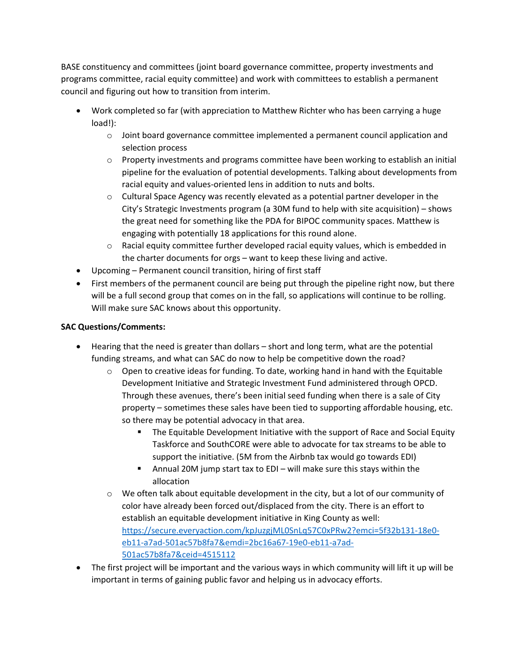BASE constituency and committees (joint board governance committee, property investments and programs committee, racial equity committee) and work with committees to establish a permanent council and figuring out how to transition from interim.

- Work completed so far (with appreciation to Matthew Richter who has been carrying a huge load!):
	- o Joint board governance committee implemented a permanent council application and selection process
	- $\circ$  Property investments and programs committee have been working to establish an initial pipeline for the evaluation of potential developments. Talking about developments from racial equity and values-oriented lens in addition to nuts and bolts.
	- $\circ$  Cultural Space Agency was recently elevated as a potential partner developer in the City's Strategic Investments program (a 30M fund to help with site acquisition) – shows the great need for something like the PDA for BIPOC community spaces. Matthew is engaging with potentially 18 applications for this round alone.
	- o Racial equity committee further developed racial equity values, which is embedded in the charter documents for orgs – want to keep these living and active.
- Upcoming Permanent council transition, hiring of first staff
- First members of the permanent council are being put through the pipeline right now, but there will be a full second group that comes on in the fall, so applications will continue to be rolling. Will make sure SAC knows about this opportunity.

## **SAC Questions/Comments:**

- Hearing that the need is greater than dollars short and long term, what are the potential funding streams, and what can SAC do now to help be competitive down the road?
	- $\circ$  Open to creative ideas for funding. To date, working hand in hand with the Equitable Development Initiative and Strategic Investment Fund administered through OPCD. Through these avenues, there's been initial seed funding when there is a sale of City property – sometimes these sales have been tied to supporting affordable housing, etc. so there may be potential advocacy in that area.
		- The Equitable Development Initiative with the support of Race and Social Equity Taskforce and SouthCORE were able to advocate for tax streams to be able to support the initiative. (5M from the Airbnb tax would go towards EDI)
		- Annual 20M jump start tax to EDI will make sure this stays within the allocation
	- $\circ$  We often talk about equitable development in the city, but a lot of our community of color have already been forced out/displaced from the city. There is an effort to establish an equitable development initiative in King County as well: [https://secure.everyaction.com/kpJuzgjML0SnLq57C0xPRw2?emci=5f32b131-18e0](https://secure.everyaction.com/kpJuzgjML0SnLq57C0xPRw2?emci=5f32b131-18e0-eb11-a7ad-501ac57b8fa7&emdi=2bc16a67-19e0-eb11-a7ad-501ac57b8fa7&ceid=4515112) [eb11-a7ad-501ac57b8fa7&emdi=2bc16a67-19e0-eb11-a7ad-](https://secure.everyaction.com/kpJuzgjML0SnLq57C0xPRw2?emci=5f32b131-18e0-eb11-a7ad-501ac57b8fa7&emdi=2bc16a67-19e0-eb11-a7ad-501ac57b8fa7&ceid=4515112)[501ac57b8fa7&ceid=4515112](https://secure.everyaction.com/kpJuzgjML0SnLq57C0xPRw2?emci=5f32b131-18e0-eb11-a7ad-501ac57b8fa7&emdi=2bc16a67-19e0-eb11-a7ad-501ac57b8fa7&ceid=4515112)
- The first project will be important and the various ways in which community will lift it up will be important in terms of gaining public favor and helping us in advocacy efforts.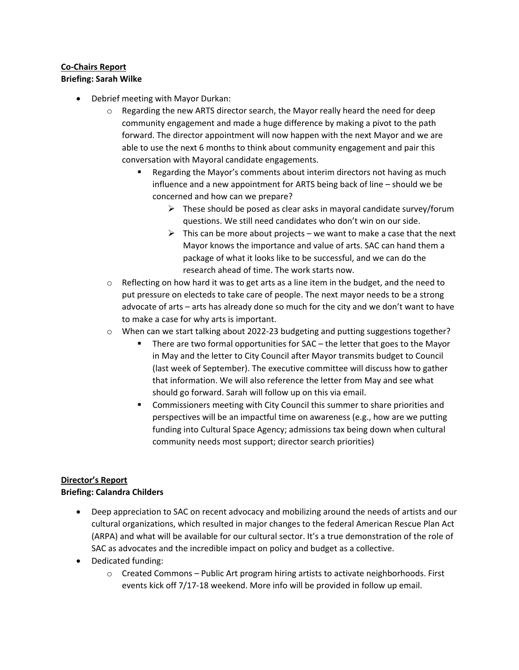## **Co-Chairs Report Briefing: Sarah Wilke**

- Debrief meeting with Mayor Durkan:
	- $\circ$  Regarding the new ARTS director search, the Mayor really heard the need for deep community engagement and made a huge difference by making a pivot to the path forward. The director appointment will now happen with the next Mayor and we are able to use the next 6 months to think about community engagement and pair this conversation with Mayoral candidate engagements.
		- Regarding the Mayor's comments about interim directors not having as much influence and a new appointment for ARTS being back of line – should we be concerned and how can we prepare?
			- $\triangleright$  These should be posed as clear asks in mayoral candidate survey/forum questions. We still need candidates who don't win on our side.
			- $\triangleright$  This can be more about projects we want to make a case that the next Mayor knows the importance and value of arts. SAC can hand them a package of what it looks like to be successful, and we can do the research ahead of time. The work starts now.
	- $\circ$  Reflecting on how hard it was to get arts as a line item in the budget, and the need to put pressure on electeds to take care of people. The next mayor needs to be a strong advocate of arts – arts has already done so much for the city and we don't want to have to make a case for why arts is important.
	- $\circ$  When can we start talking about 2022-23 budgeting and putting suggestions together?
		- There are two formal opportunities for SAC the letter that goes to the Mayor in May and the letter to City Council after Mayor transmits budget to Council (last week of September). The executive committee will discuss how to gather that information. We will also reference the letter from May and see what should go forward. Sarah will follow up on this via email.
		- **EXEDENT** Commissioners meeting with City Council this summer to share priorities and perspectives will be an impactful time on awareness (e.g., how are we putting funding into Cultural Space Agency; admissions tax being down when cultural community needs most support; director search priorities)

# **Director's Report Briefing: Calandra Childers**

- Deep appreciation to SAC on recent advocacy and mobilizing around the needs of artists and our cultural organizations, which resulted in major changes to the federal American Rescue Plan Act (ARPA) and what will be available for our cultural sector. It's a true demonstration of the role of SAC as advocates and the incredible impact on policy and budget as a collective.
- Dedicated funding:
	- $\circ$  Created Commons Public Art program hiring artists to activate neighborhoods. First events kick off 7/17-18 weekend. More info will be provided in follow up email.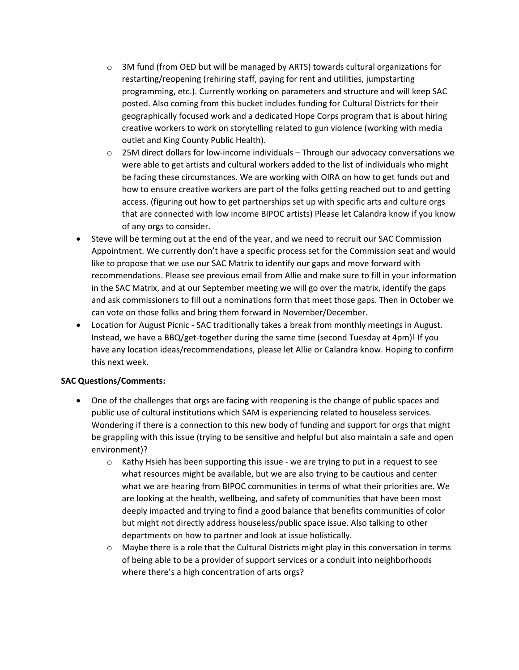- $\circ$  3M fund (from OED but will be managed by ARTS) towards cultural organizations for restarting/reopening (rehiring staff, paying for rent and utilities, jumpstarting programming, etc.). Currently working on parameters and structure and will keep SAC posted. Also coming from this bucket includes funding for Cultural Districts for their geographically focused work and a dedicated Hope Corps program that is about hiring creative workers to work on storytelling related to gun violence (working with media outlet and King County Public Health).
- o 25M direct dollars for low-income individuals Through our advocacy conversations we were able to get artists and cultural workers added to the list of individuals who might be facing these circumstances. We are working with OIRA on how to get funds out and how to ensure creative workers are part of the folks getting reached out to and getting access. (figuring out how to get partnerships set up with specific arts and culture orgs that are connected with low income BIPOC artists) Please let Calandra know if you know of any orgs to consider.
- Steve will be terming out at the end of the year, and we need to recruit our SAC Commission Appointment. We currently don't have a specific process set for the Commission seat and would like to propose that we use our SAC Matrix to identify our gaps and move forward with recommendations. Please see previous email from Allie and make sure to fill in your information in the SAC Matrix, and at our September meeting we will go over the matrix, identify the gaps and ask commissioners to fill out a nominations form that meet those gaps. Then in October we can vote on those folks and bring them forward in November/December.
- Location for August Picnic SAC traditionally takes a break from monthly meetings in August. Instead, we have a BBQ/get-together during the same time (second Tuesday at 4pm)! If you have any location ideas/recommendations, please let Allie or Calandra know. Hoping to confirm this next week.

#### **SAC Questions/Comments:**

- One of the challenges that orgs are facing with reopening is the change of public spaces and public use of cultural institutions which SAM is experiencing related to houseless services. Wondering if there is a connection to this new body of funding and support for orgs that might be grappling with this issue (trying to be sensitive and helpful but also maintain a safe and open environment)?
	- $\circ$  Kathy Hsieh has been supporting this issue we are trying to put in a request to see what resources might be available, but we are also trying to be cautious and center what we are hearing from BIPOC communities in terms of what their priorities are. We are looking at the health, wellbeing, and safety of communities that have been most deeply impacted and trying to find a good balance that benefits communities of color but might not directly address houseless/public space issue. Also talking to other departments on how to partner and look at issue holistically.
	- $\circ$  Maybe there is a role that the Cultural Districts might play in this conversation in terms of being able to be a provider of support services or a conduit into neighborhoods where there's a high concentration of arts orgs?